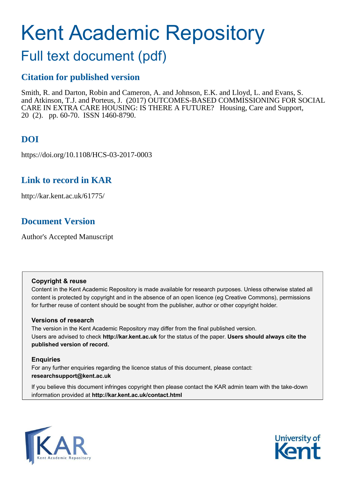# Kent Academic Repository

## Full text document (pdf)

## **Citation for published version**

Smith, R. and Darton, Robin and Cameron, A. and Johnson, E.K. and Lloyd, L. and Evans, S. and Atkinson, T.J. and Porteus, J. (2017) OUTCOMES-BASED COMMISSIONING FOR SOCIAL CARE IN EXTRA CARE HOUSING: IS THERE A FUTURE? Housing, Care and Support, 20 (2). pp. 60-70. ISSN 1460-8790.

## **DOI**

https://doi.org/10.1108/HCS-03-2017-0003

## **Link to record in KAR**

http://kar.kent.ac.uk/61775/

## **Document Version**

Author's Accepted Manuscript

#### **Copyright & reuse**

Content in the Kent Academic Repository is made available for research purposes. Unless otherwise stated all content is protected by copyright and in the absence of an open licence (eg Creative Commons), permissions for further reuse of content should be sought from the publisher, author or other copyright holder.

#### **Versions of research**

The version in the Kent Academic Repository may differ from the final published version. Users are advised to check **http://kar.kent.ac.uk** for the status of the paper. **Users should always cite the published version of record.**

#### **Enquiries**

For any further enquiries regarding the licence status of this document, please contact: **researchsupport@kent.ac.uk**

If you believe this document infringes copyright then please contact the KAR admin team with the take-down information provided at **http://kar.kent.ac.uk/contact.html**



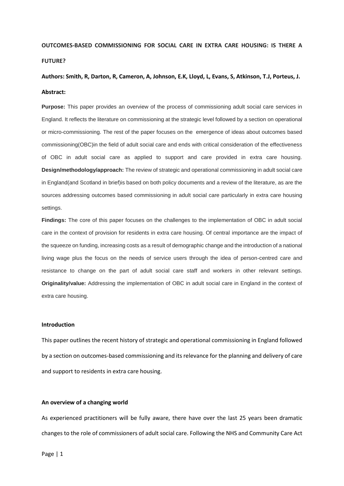## **OUTCOMES-BASED COMMISSIONING FOR SOCIAL CARE IN EXTRA CARE HOUSING: IS THERE A FUTURE?**

### **Authors: Smith, R, Darton, R, Cameron, A, Johnson, E.K, Lloyd, L, Evans, S, Atkinson, T.J, Porteus, J. Abstract:**

**Purpose:** This paper provides an overview of the process of commissioning adult social care services in England. It reflects the literature on commissioning at the strategic level followed by a section on operational or micro-commissioning. The rest of the paper focuses on the emergence of ideas about outcomes based commissioning(OBC)in the field of adult social care and ends with critical consideration of the effectiveness of OBC in adult social care as applied to support and care provided in extra care housing. **Design/methodology/approach:** The review of strategic and operational commissioning in adult social care in England(and Scotland in brief)is based on both policy documents and a review of the literature, as are the sources addressing outcomes based commissioning in adult social care particularly in extra care housing settings.

**Findings:** The core of this paper focuses on the challenges to the implementation of OBC in adult social care in the context of provision for residents in extra care housing. Of central importance are the impact of the squeeze on funding, increasing costs as a result of demographic change and the introduction of a national living wage plus the focus on the needs of service users through the idea of person-centred care and resistance to change on the part of adult social care staff and workers in other relevant settings. **Originality/value:** Addressing the implementation of OBC in adult social care in England in the context of extra care housing.

#### **Introduction**

This paper outlines the recent history of strategic and operational commissioning in England followed by a section on outcomes-based commissioning and its relevance for the planning and delivery of care and support to residents in extra care housing.

#### **An overview of a changing world**

As experienced practitioners will be fully aware, there have over the last 25 years been dramatic changes to the role of commissioners of adult social care. Following the NHS and Community Care Act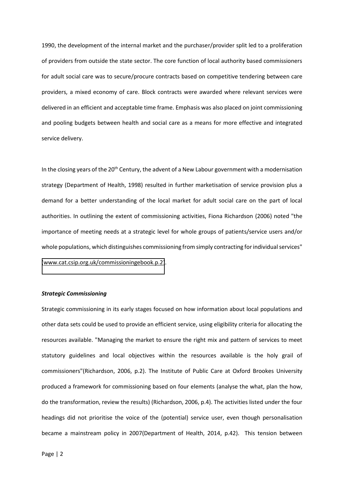1990, the development of the internal market and the purchaser/provider split led to a proliferation of providers from outside the state sector. The core function of local authority based commissioners for adult social care was to secure/procure contracts based on competitive tendering between care providers, a mixed economy of care. Block contracts were awarded where relevant services were delivered in an efficient and acceptable time frame. Emphasis was also placed on joint commissioning and pooling budgets between health and social care as a means for more effective and integrated service delivery.

In the closing years of the  $20<sup>th</sup>$  Century, the advent of a New Labour government with a modernisation strategy (Department of Health, 1998) resulted in further marketisation of service provision plus a demand for a better understanding of the local market for adult social care on the part of local authorities. In outlining the extent of commissioning activities, Fiona Richardson (2006) noted "the importance of meeting needs at a strategic level for whole groups of patients/service users and/or whole populations, which distinguishes commissioning from simply contracting for individual services" [\(www.cat.csip.org.uk/commissioningebook.p.2\)](http://www.cat.csip.org.uk/commissioningebook.p.2).

#### *Strategic Commissioning*

Strategic commissioning in its early stages focused on how information about local populations and other data sets could be used to provide an efficient service, using eligibility criteria for allocating the resources available. "Managing the market to ensure the right mix and pattern of services to meet statutory guidelines and local objectives within the resources available is the holy grail of commissioners"(Richardson, 2006, p.2). The Institute of Public Care at Oxford Brookes University produced a framework for commissioning based on four elements (analyse the what, plan the how, do the transformation, review the results) (Richardson, 2006, p.4). The activities listed under the four headings did not prioritise the voice of the (potential) service user, even though personalisation became a mainstream policy in 2007(Department of Health, 2014, p.42). This tension between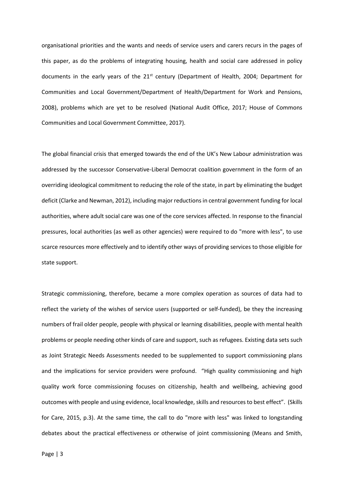organisational priorities and the wants and needs of service users and carers recurs in the pages of this paper, as do the problems of integrating housing, health and social care addressed in policy documents in the early years of the 21<sup>st</sup> century (Department of Health, 2004; Department for Communities and Local Government/Department of Health/Department for Work and Pensions, 2008), problems which are yet to be resolved (National Audit Office, 2017; House of Commons Communities and Local Government Committee, 2017).

The global financial crisis that emerged towards the end of the UK's New Labour administration was addressed by the successor Conservative-Liberal Democrat coalition government in the form of an overriding ideological commitment to reducing the role of the state, in part by eliminating the budget deficit (Clarke and Newman, 2012), including major reductions in central government funding for local authorities, where adult social care was one of the core services affected. In response to the financial pressures, local authorities (as well as other agencies) were required to do "more with less", to use scarce resources more effectively and to identify other ways of providing services to those eligible for state support.

Strategic commissioning, therefore, became a more complex operation as sources of data had to reflect the variety of the wishes of service users (supported or self-funded), be they the increasing numbers of frail older people, people with physical or learning disabilities, people with mental health problems or people needing other kinds of care and support, such as refugees. Existing data sets such as Joint Strategic Needs Assessments needed to be supplemented to support commissioning plans and the implications for service providers were profound. "High quality commissioning and high quality work force commissioning focuses on citizenship, health and wellbeing, achieving good outcomes with people and using evidence, local knowledge, skills and resources to best effect". (Skills for Care, 2015, p.3). At the same time, the call to do "more with less" was linked to longstanding debates about the practical effectiveness or otherwise of joint commissioning (Means and Smith,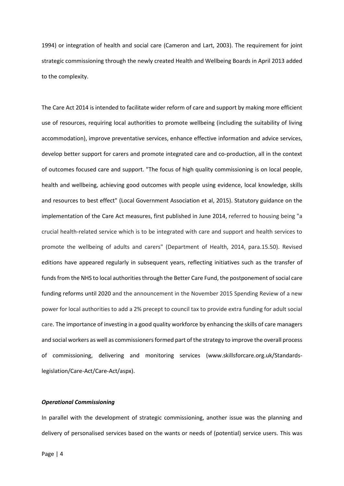1994) or integration of health and social care (Cameron and Lart, 2003). The requirement for joint strategic commissioning through the newly created Health and Wellbeing Boards in April 2013 added to the complexity.

The Care Act 2014 is intended to facilitate wider reform of care and support by making more efficient use of resources, requiring local authorities to promote wellbeing (including the suitability of living accommodation), improve preventative services, enhance effective information and advice services, develop better support for carers and promote integrated care and co-production, all in the context of outcomes focused care and support. "The focus of high quality commissioning is on local people, health and wellbeing, achieving good outcomes with people using evidence, local knowledge, skills and resources to best effect" (Local Government Association et al, 2015). Statutory guidance on the implementation of the Care Act measures, first published in June 2014, referred to housing being "a crucial health-related service which is to be integrated with care and support and health services to promote the wellbeing of adults and carers" (Department of Health, 2014, para.15.50). Revised editions have appeared regularly in subsequent years, reflecting initiatives such as the transfer of funds from the NHS to local authorities through the Better Care Fund, the postponement of social care funding reforms until 2020 and the announcement in the November 2015 Spending Review of a new power for local authorities to add a 2% precept to council tax to provide extra funding for adult social care. The importance of investing in a good quality workforce by enhancing the skills of care managers and social workers as well as commissioners formed part of the strategy to improve the overall process of commissioning, delivering and monitoring services (www.skillsforcare.org.uk/Standardslegislation/Care-Act/Care-Act/aspx).

#### *Operational Commissioning*

In parallel with the development of strategic commissioning, another issue was the planning and delivery of personalised services based on the wants or needs of (potential) service users. This was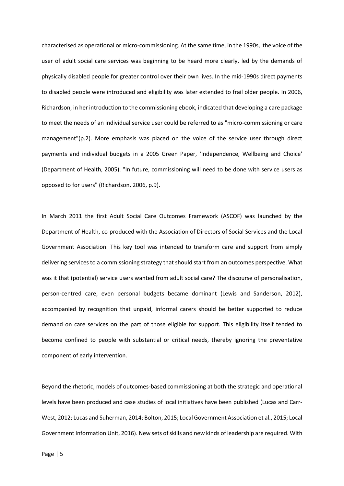characterised as operational or micro-commissioning. At the same time, in the 1990s, the voice of the user of adult social care services was beginning to be heard more clearly, led by the demands of physically disabled people for greater control over their own lives. In the mid-1990s direct payments to disabled people were introduced and eligibility was later extended to frail older people. In 2006, Richardson, in her introduction to the commissioning ebook, indicated that developing a care package to meet the needs of an individual service user could be referred to as "micro-commissioning or care management"(p.2). More emphasis was placed on the voice of the service user through direct payments and individual budgets in a 2005 Green Paper, 'Independence, Wellbeing and Choice' (Department of Health, 2005). "In future, commissioning will need to be done with service users as opposed to for users" (Richardson, 2006, p.9).

In March 2011 the first Adult Social Care Outcomes Framework (ASCOF) was launched by the Department of Health, co-produced with the Association of Directors of Social Services and the Local Government Association. This key tool was intended to transform care and support from simply delivering services to a commissioning strategy that should start from an outcomes perspective. What was it that (potential) service users wanted from adult social care? The discourse of personalisation, person-centred care, even personal budgets became dominant (Lewis and Sanderson, 2012), accompanied by recognition that unpaid, informal carers should be better supported to reduce demand on care services on the part of those eligible for support. This eligibility itself tended to become confined to people with substantial or critical needs, thereby ignoring the preventative component of early intervention.

Beyond the rhetoric, models of outcomes-based commissioning at both the strategic and operational levels have been produced and case studies of local initiatives have been published (Lucas and Carr-West, 2012; Lucas and Suherman, 2014; Bolton, 2015; Local Government Association et al., 2015; Local Government Information Unit, 2016). New sets of skills and new kinds of leadership are required. With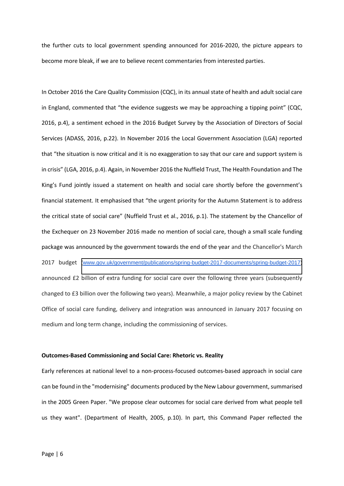the further cuts to local government spending announced for 2016-2020, the picture appears to become more bleak, if we are to believe recent commentaries from interested parties.

In October 2016 the Care Quality Commission (CQC), in its annual state of health and adult social care in England, commented that "the evidence suggests we may be approaching a tipping point" (CQC, 2016, p.4), a sentiment echoed in the 2016 Budget Survey by the Association of Directors of Social Services (ADASS, 2016, p.22). In November 2016 the Local Government Association (LGA) reported that "the situation is now critical and it is no exaggeration to say that our care and support system is in crisis" (LGA, 2016, p.4). Again, in November 2016 the Nuffield Trust, The Health Foundation and The King's Fund jointly issued a statement on health and social care shortly before the government's financial statement. It emphasised that "the urgent priority for the Autumn Statement is to address the critical state of social care" (Nuffield Trust et al., 2016, p.1). The statement by the Chancellor of the Exchequer on 23 November 2016 made no mention of social care, though a small scale funding package was announced by the government towards the end of the year and the Chancellor's March 2017 budget [\(www.gov.uk/government/publications/spring-budget-2017-documents/spring-budget-2017\)](http://www.gov.uk/government/publications/spring-budget-2017-documents/spring-budget-2017) announced £2 billion of extra funding for social care over the following three years (subsequently changed to £3 billion over the following two years). Meanwhile, a major policy review by the Cabinet Office of social care funding, delivery and integration was announced in January 2017 focusing on medium and long term change, including the commissioning of services.

#### **Outcomes-Based Commissioning and Social Care: Rhetoric vs. Reality**

Early references at national level to a non-process-focused outcomes-based approach in social care can be found in the "modernising" documents produced by the New Labour government, summarised in the 2005 Green Paper. "We propose clear outcomes for social care derived from what people tell us they want". (Department of Health, 2005, p.10). In part, this Command Paper reflected the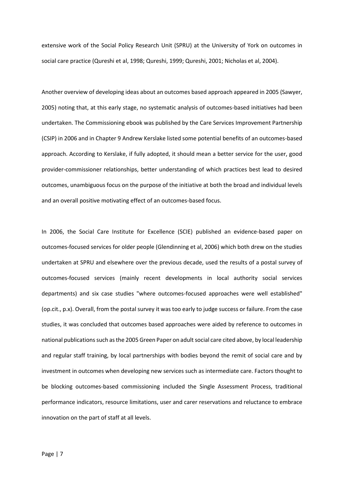extensive work of the Social Policy Research Unit (SPRU) at the University of York on outcomes in social care practice (Qureshi et al, 1998; Qureshi, 1999; Qureshi, 2001; Nicholas et al, 2004).

Another overview of developing ideas about an outcomes based approach appeared in 2005 (Sawyer, 2005) noting that, at this early stage, no systematic analysis of outcomes-based initiatives had been undertaken. The Commissioning ebook was published by the Care Services Improvement Partnership (CSIP) in 2006 and in Chapter 9 Andrew Kerslake listed some potential benefits of an outcomes-based approach. According to Kerslake, if fully adopted, it should mean a better service for the user, good provider-commissioner relationships, better understanding of which practices best lead to desired outcomes, unambiguous focus on the purpose of the initiative at both the broad and individual levels and an overall positive motivating effect of an outcomes-based focus.

In 2006, the Social Care Institute for Excellence (SCIE) published an evidence-based paper on outcomes-focused services for older people (Glendinning et al, 2006) which both drew on the studies undertaken at SPRU and elsewhere over the previous decade, used the results of a postal survey of outcomes-focused services (mainly recent developments in local authority social services departments) and six case studies "where outcomes-focused approaches were well established" (op.cit., p.x). Overall, from the postal survey it was too early to judge success or failure. From the case studies, it was concluded that outcomes based approaches were aided by reference to outcomes in national publications such as the 2005 Green Paper on adult social care cited above, by local leadership and regular staff training, by local partnerships with bodies beyond the remit of social care and by investment in outcomes when developing new services such as intermediate care. Factors thought to be blocking outcomes-based commissioning included the Single Assessment Process, traditional performance indicators, resource limitations, user and carer reservations and reluctance to embrace innovation on the part of staff at all levels.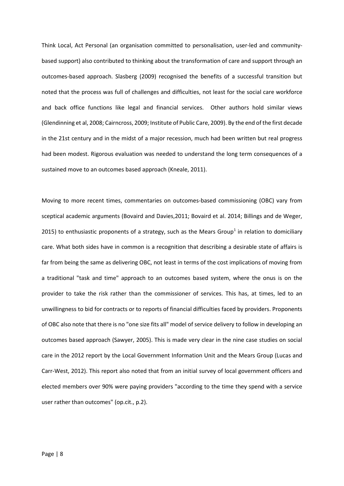Think Local, Act Personal (an organisation committed to personalisation, user-led and communitybased support) also contributed to thinking about the transformation of care and support through an outcomes-based approach. Slasberg (2009) recognised the benefits of a successful transition but noted that the process was full of challenges and difficulties, not least for the social care workforce and back office functions like legal and financial services. Other authors hold similar views (Glendinning et al, 2008; Cairncross, 2009; Institute of Public Care, 2009). By the end of the first decade in the 21st century and in the midst of a major recession, much had been written but real progress had been modest. Rigorous evaluation was needed to understand the long term consequences of a sustained move to an outcomes based approach (Kneale, 2011).

Moving to more recent times, commentaries on outcomes-based commissioning (OBC) vary from sceptical academic arguments (Bovaird and Davies,2011; Bovaird et al. 2014; Billings and de Weger, 2015) to enthusiastic proponents of a strategy, such as the Mears Group<sup>1</sup> in relation to domiciliary care. What both sides have in common is a recognition that describing a desirable state of affairs is far from being the same as delivering OBC, not least in terms of the cost implications of moving from a traditional "task and time" approach to an outcomes based system, where the onus is on the provider to take the risk rather than the commissioner of services. This has, at times, led to an unwillingness to bid for contracts or to reports of financial difficulties faced by providers. Proponents of OBC also note that there is no "one size fits all" model of service delivery to follow in developing an outcomes based approach (Sawyer, 2005). This is made very clear in the nine case studies on social care in the 2012 report by the Local Government Information Unit and the Mears Group (Lucas and Carr-West, 2012). This report also noted that from an initial survey of local government officers and elected members over 90% were paying providers "according to the time they spend with a service user rather than outcomes" (op.cit., p.2).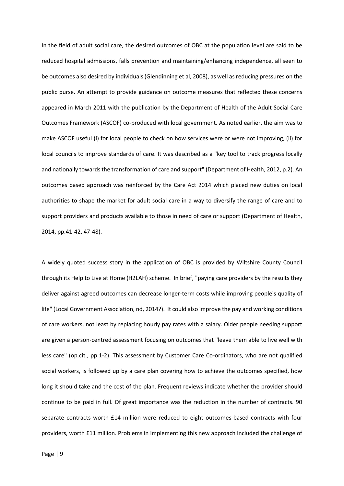In the field of adult social care, the desired outcomes of OBC at the population level are said to be reduced hospital admissions, falls prevention and maintaining/enhancing independence, all seen to be outcomes also desired by individuals (Glendinning et al, 2008), as well as reducing pressures on the public purse. An attempt to provide guidance on outcome measures that reflected these concerns appeared in March 2011 with the publication by the Department of Health of the Adult Social Care Outcomes Framework (ASCOF) co-produced with local government. As noted earlier, the aim was to make ASCOF useful (i) for local people to check on how services were or were not improving, (ii) for local councils to improve standards of care. It was described as a "key tool to track progress locally and nationally towards the transformation of care and support" (Department of Health, 2012, p.2). An outcomes based approach was reinforced by the Care Act 2014 which placed new duties on local authorities to shape the market for adult social care in a way to diversify the range of care and to support providers and products available to those in need of care or support (Department of Health, 2014, pp.41-42, 47-48).

A widely quoted success story in the application of OBC is provided by Wiltshire County Council through its Help to Live at Home (H2LAH) scheme. In brief, "paying care providers by the results they deliver against agreed outcomes can decrease longer-term costs while improving people's quality of life" (Local Government Association, nd, 2014?). It could also improve the pay and working conditions of care workers, not least by replacing hourly pay rates with a salary. Older people needing support are given a person-centred assessment focusing on outcomes that "leave them able to live well with less care" (op.cit., pp.1-2). This assessment by Customer Care Co-ordinators, who are not qualified social workers, is followed up by a care plan covering how to achieve the outcomes specified, how long it should take and the cost of the plan. Frequent reviews indicate whether the provider should continue to be paid in full. Of great importance was the reduction in the number of contracts. 90 separate contracts worth £14 million were reduced to eight outcomes-based contracts with four providers, worth £11 million. Problems in implementing this new approach included the challenge of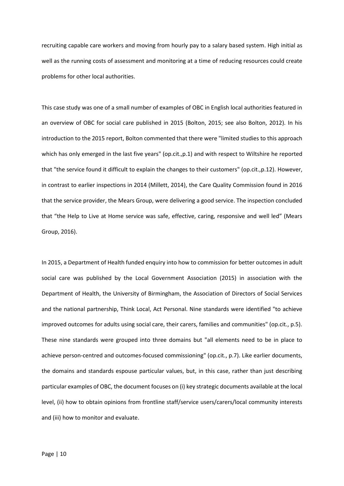recruiting capable care workers and moving from hourly pay to a salary based system. High initial as well as the running costs of assessment and monitoring at a time of reducing resources could create problems for other local authorities.

This case study was one of a small number of examples of OBC in English local authorities featured in an overview of OBC for social care published in 2015 (Bolton, 2015; see also Bolton, 2012). In his introduction to the 2015 report, Bolton commented that there were "limited studies to this approach which has only emerged in the last five years" (op.cit.,p.1) and with respect to Wiltshire he reported that "the service found it difficult to explain the changes to their customers" (op.cit.,p.12). However, in contrast to earlier inspections in 2014 (Millett, 2014), the Care Quality Commission found in 2016 that the service provider, the Mears Group, were delivering a good service. The inspection concluded that "the Help to Live at Home service was safe, effective, caring, responsive and well led" (Mears Group, 2016).

In 2015, a Department of Health funded enquiry into how to commission for better outcomes in adult social care was published by the Local Government Association (2015) in association with the Department of Health, the University of Birmingham, the Association of Directors of Social Services and the national partnership, Think Local, Act Personal. Nine standards were identified "to achieve improved outcomes for adults using social care, their carers, families and communities" (op.cit., p.5). These nine standards were grouped into three domains but "all elements need to be in place to achieve person-centred and outcomes-focused commissioning" (op.cit., p.7). Like earlier documents, the domains and standards espouse particular values, but, in this case, rather than just describing particular examples of OBC, the document focuses on (i) key strategic documents available at the local level, (ii) how to obtain opinions from frontline staff/service users/carers/local community interests and (iii) how to monitor and evaluate.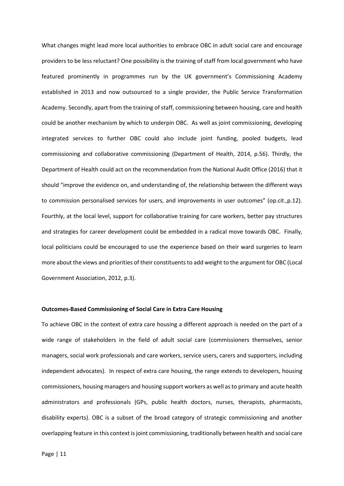What changes might lead more local authorities to embrace OBC in adult social care and encourage providers to be less reluctant? One possibility is the training of staff from local government who have featured prominently in programmes run by the UK government's Commissioning Academy established in 2013 and now outsourced to a single provider, the Public Service Transformation Academy. Secondly, apart from the training of staff, commissioning between housing, care and health could be another mechanism by which to underpin OBC. As well as joint commissioning, developing integrated services to further OBC could also include joint funding, pooled budgets, lead commissioning and collaborative commissioning (Department of Health, 2014, p.56). Thirdly, the Department of Health could act on the recommendation from the National Audit Office (2016) that it should "improve the evidence on, and understanding of, the relationship between the different ways to commission personalised services for users, and improvements in user outcomes" (op.cit., p.12). Fourthly, at the local level, support for collaborative training for care workers, better pay structures and strategies for career development could be embedded in a radical move towards OBC. Finally, local politicians could be encouraged to use the experience based on their ward surgeries to learn more about the views and priorities of their constituents to add weight to the argument for OBC (Local Government Association, 2012, p.3).

#### **Outcomes-Based Commissioning of Social Care in Extra Care Housing**

To achieve OBC in the context of extra care housing a different approach is needed on the part of a wide range of stakeholders in the field of adult social care (commissioners themselves, senior managers, social work professionals and care workers, service users, carers and supporters, including independent advocates). In respect of extra care housing, the range extends to developers, housing commissioners, housing managers and housing support workers as well as to primary and acute health administrators and professionals (GPs, public health doctors, nurses, therapists, pharmacists, disability experts). OBC is a subset of the broad category of strategic commissioning and another overlapping feature in this context is joint commissioning, traditionally between health and social care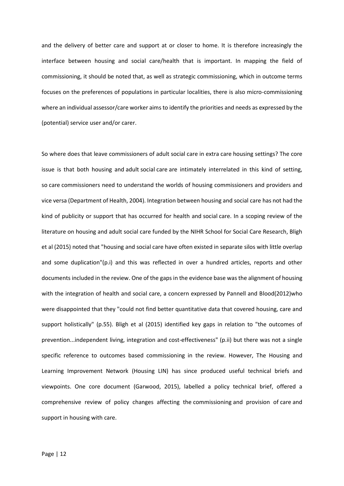and the delivery of better care and support at or closer to home. It is therefore increasingly the interface between housing and social care/health that is important. In mapping the field of commissioning, it should be noted that, as well as strategic commissioning, which in outcome terms focuses on the preferences of populations in particular localities, there is also micro-commissioning where an individual assessor/care worker aims to identify the priorities and needs as expressed by the (potential) service user and/or carer.

So where does that leave commissioners of adult social care in extra care housing settings? The core issue is that both housing and adult social care are intimately interrelated in this kind of setting, so care commissioners need to understand the worlds of housing commissioners and providers and vice versa (Department of Health, 2004). Integration between housing and social care has not had the kind of publicity or support that has occurred for health and social care. In a scoping review of the literature on housing and adult social care funded by the NIHR School for Social Care Research, Bligh et al (2015) noted that "housing and social care have often existed in separate silos with little overlap and some duplication"(p.i) and this was reflected in over a hundred articles, reports and other documents included in the review. One of the gaps in the evidence base was the alignment of housing with the integration of health and social care, a concern expressed by Pannell and Blood(2012)who were disappointed that they "could not find better quantitative data that covered housing, care and support holistically" (p.55). Bligh et al (2015) identified key gaps in relation to "the outcomes of prevention...independent living, integration and cost-effectiveness" (p.ii) but there was not a single specific reference to outcomes based commissioning in the review. However, The Housing and Learning Improvement Network (Housing LIN) has since produced useful technical briefs and viewpoints. One core document (Garwood, 2015), labelled a policy technical brief, offered a comprehensive review of policy changes affecting the commissioning and provision of care and support in housing with care.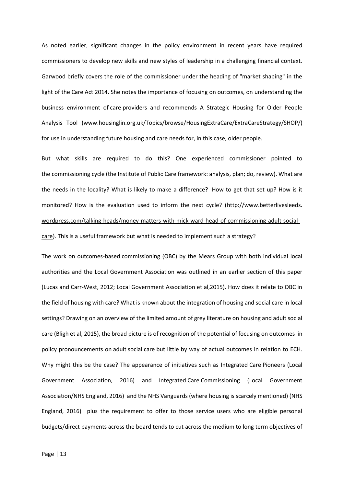As noted earlier, significant changes in the policy environment in recent years have required commissioners to develop new skills and new styles of leadership in a challenging financial context. Garwood briefly covers the role of the commissioner under the heading of "market shaping" in the light of the Care Act 2014. She notes the importance of focusing on outcomes, on understanding the business environment of care providers and recommends A Strategic Housing for Older People Analysis Tool (www.housinglin.org.uk/Topics/browse/HousingExtraCare/ExtraCareStrategy/SHOP/) for use in understanding future housing and care needs for, in this case, older people.

But what skills are required to do this? One experienced commissioner pointed to the commissioning cycle (the Institute of Public Care framework: analysis, plan; do, review). What are the needs in the locality? What is likely to make a difference? How to get that set up? How is it monitored? How is the evaluation used to inform the next cycle? (http://www.betterlivesleeds. wordpress.com/talking-heads/money-matters-with-mick-ward-head-of-commissioning-adult-socialcare). This is a useful framework but what is needed to implement such a strategy?

The work on outcomes-based commissioning (OBC) by the Mears Group with both individual local authorities and the Local Government Association was outlined in an earlier section of this paper (Lucas and Carr-West, 2012; Local Government Association et al,2015). How does it relate to OBC in the field of housing with care? What is known about the integration of housing and social care in local settings? Drawing on an overview of the limited amount of grey literature on housing and adult social care (Bligh et al, 2015), the broad picture is of recognition of the potential of focusing on outcomes in policy pronouncements on adult social care but little by way of actual outcomes in relation to ECH. Why might this be the case? The appearance of initiatives such as Integrated Care Pioneers (Local Government Association, 2016) and Integrated Care Commissioning (Local Government Association/NHS England, 2016) and the NHS Vanguards (where housing is scarcely mentioned) (NHS England, 2016) plus the requirement to offer to those service users who are eligible personal budgets/direct payments across the board tends to cut across the medium to long term objectives of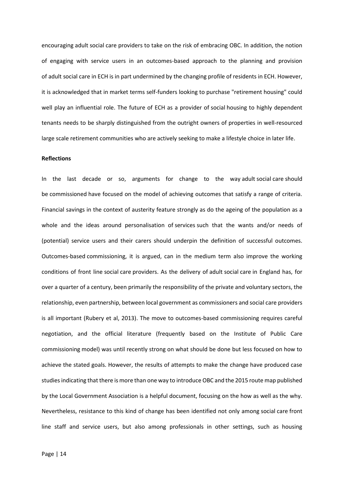encouraging adult social care providers to take on the risk of embracing OBC. In addition, the notion of engaging with service users in an outcomes-based approach to the planning and provision of adult social care in ECH is in part undermined by the changing profile of residents in ECH. However, it is acknowledged that in market terms self-funders looking to purchase "retirement housing" could well play an influential role. The future of ECH as a provider of social housing to highly dependent tenants needs to be sharply distinguished from the outright owners of properties in well-resourced large scale retirement communities who are actively seeking to make a lifestyle choice in later life.

#### **Reflections**

In the last decade or so, arguments for change to the way adult social care should be commissioned have focused on the model of achieving outcomes that satisfy a range of criteria. Financial savings in the context of austerity feature strongly as do the ageing of the population as a whole and the ideas around personalisation of services such that the wants and/or needs of (potential) service users and their carers should underpin the definition of successful outcomes. Outcomes-based commissioning, it is argued, can in the medium term also improve the working conditions of front line social care providers. As the delivery of adult social care in England has, for over a quarter of a century, been primarily the responsibility of the private and voluntary sectors, the relationship, even partnership, between local government as commissioners and social care providers is all important (Rubery et al, 2013). The move to outcomes-based commissioning requires careful negotiation, and the official literature (frequently based on the Institute of Public Care commissioning model) was until recently strong on what should be done but less focused on how to achieve the stated goals. However, the results of attempts to make the change have produced case studies indicating that there is more than one way to introduce OBC and the 2015 route map published by the Local Government Association is a helpful document, focusing on the how as well as the why. Nevertheless, resistance to this kind of change has been identified not only among social care front line staff and service users, but also among professionals in other settings, such as housing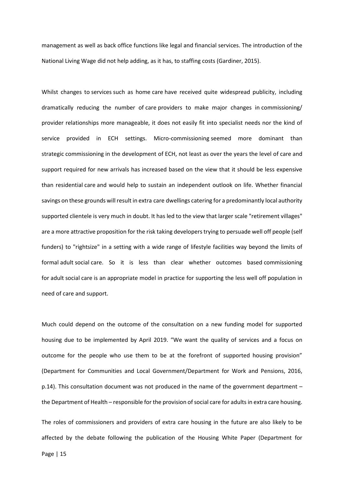management as well as back office functions like legal and financial services. The introduction of the National Living Wage did not help adding, as it has, to staffing costs (Gardiner, 2015).

Whilst changes to services such as home care have received quite widespread publicity, including dramatically reducing the number of care providers to make major changes in commissioning/ provider relationships more manageable, it does not easily fit into specialist needs nor the kind of service provided in ECH settings. Micro-commissioning seemed more dominant than strategic commissioning in the development of ECH, not least as over the years the level of care and support required for new arrivals has increased based on the view that it should be less expensive than residential care and would help to sustain an independent outlook on life. Whether financial savings on these grounds will result in extra care dwellings catering for a predominantly local authority supported clientele is very much in doubt. It has led to the view that larger scale "retirement villages" are a more attractive proposition for the risk taking developers trying to persuade well off people (self funders) to "rightsize" in a setting with a wide range of lifestyle facilities way beyond the limits of formal adult social care. So it is less than clear whether outcomes based commissioning for adult social care is an appropriate model in practice for supporting the less well off population in need of care and support.

Much could depend on the outcome of the consultation on a new funding model for supported housing due to be implemented by April 2019. "We want the quality of services and a focus on outcome for the people who use them to be at the forefront of supported housing provision" (Department for Communities and Local Government/Department for Work and Pensions, 2016, p.14). This consultation document was not produced in the name of the government department  $$ the Department of Health – responsible for the provision of social care for adults in extra care housing. The roles of commissioners and providers of extra care housing in the future are also likely to be affected by the debate following the publication of the Housing White Paper (Department for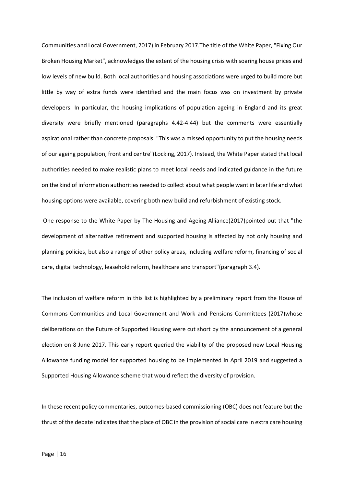Communities and Local Government, 2017) in February 2017.The title of the White Paper, "Fixing Our Broken Housing Market", acknowledges the extent of the housing crisis with soaring house prices and low levels of new build. Both local authorities and housing associations were urged to build more but little by way of extra funds were identified and the main focus was on investment by private developers. In particular, the housing implications of population ageing in England and its great diversity were briefly mentioned (paragraphs 4.42-4.44) but the comments were essentially aspirational rather than concrete proposals. "This was a missed opportunity to put the housing needs of our ageing population, front and centre"(Locking, 2017). Instead, the White Paper stated that local authorities needed to make realistic plans to meet local needs and indicated guidance in the future on the kind of information authorities needed to collect about what people want in later life and what housing options were available, covering both new build and refurbishment of existing stock.

 One response to the White Paper by The Housing and Ageing Alliance(2017)pointed out that "the development of alternative retirement and supported housing is affected by not only housing and planning policies, but also a range of other policy areas, including welfare reform, financing of social care, digital technology, leasehold reform, healthcare and transport"(paragraph 3.4).

The inclusion of welfare reform in this list is highlighted by a preliminary report from the House of Commons Communities and Local Government and Work and Pensions Committees (2017)whose deliberations on the Future of Supported Housing were cut short by the announcement of a general election on 8 June 2017. This early report queried the viability of the proposed new Local Housing Allowance funding model for supported housing to be implemented in April 2019 and suggested a Supported Housing Allowance scheme that would reflect the diversity of provision.

In these recent policy commentaries, outcomes-based commissioning (OBC) does not feature but the thrust of the debate indicates that the place of OBC in the provision of social care in extra care housing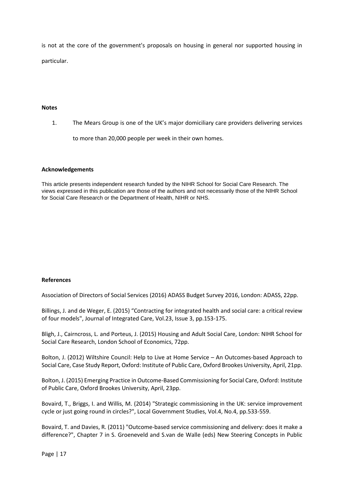is not at the core of the government's proposals on housing in general nor supported housing in particular.

#### **Notes**

1. The Mears Group is one of the UK's major domiciliary care providers delivering services

to more than 20,000 people per week in their own homes.

#### **Acknowledgements**

This article presents independent research funded by the NIHR School for Social Care Research. The views expressed in this publication are those of the authors and not necessarily those of the NIHR School for Social Care Research or the Department of Health, NIHR or NHS.

#### **References**

Association of Directors of Social Services (2016) ADASS Budget Survey 2016, London: ADASS, 22pp.

Billings, J. and de Weger, E. (2015) "Contracting for integrated health and social care: a critical review of four models", Journal of Integrated Care, Vol.23, Issue 3, pp.153-175.

Bligh, J., Cairncross, L. and Porteus, J. (2015) Housing and Adult Social Care, London: NIHR School for Social Care Research, London School of Economics, 72pp.

Bolton, J. (2012) Wiltshire Council: Help to Live at Home Service – An Outcomes-based Approach to Social Care, Case Study Report, Oxford: Institute of Public Care, Oxford Brookes University, April, 21pp.

Bolton, J. (2015) Emerging Practice in Outcome-Based Commissioning for Social Care, Oxford: Institute of Public Care, Oxford Brookes University, April, 23pp.

Bovaird, T., Briggs, I. and Willis, M. (2014) "Strategic commissioning in the UK: service improvement cycle or just going round in circles?", Local Government Studies, Vol.4, No.4, pp.533-559.

Bovaird, T. and Davies, R. (2011) "Outcome-based service commissioning and delivery: does it make a difference?", Chapter 7 in S. Groeneveld and S.van de Walle (eds) New Steering Concepts in Public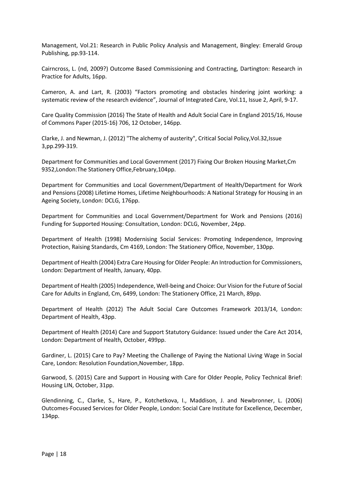Management, Vol.21: Research in Public Policy Analysis and Management, Bingley: Emerald Group Publishing, pp.93-114.

Cairncross, L. (nd, 2009?) Outcome Based Commissioning and Contracting, Dartington: Research in Practice for Adults, 16pp.

Cameron, A. and Lart, R. (2003) "Factors promoting and obstacles hindering joint working: a systematic review of the research evidence", Journal of Integrated Care, Vol.11, Issue 2, April, 9-17.

Care Quality Commission (2016) The State of Health and Adult Social Care in England 2015/16, House of Commons Paper (2015-16) 706, 12 October, 146pp.

Clarke, J. and Newman, J. (2012) "The alchemy of austerity", Critical Social Policy,Vol.32,Issue 3,pp.299-319.

Department for Communities and Local Government (2017) Fixing Our Broken Housing Market,Cm 9352,London:The Stationery Office,February,104pp.

Department for Communities and Local Government/Department of Health/Department for Work and Pensions (2008) Lifetime Homes, Lifetime Neighbourhoods: A National Strategy for Housing in an Ageing Society, London: DCLG, 176pp.

Department for Communities and Local Government/Department for Work and Pensions (2016) Funding for Supported Housing: Consultation, London: DCLG, November, 24pp.

Department of Health (1998) Modernising Social Services: Promoting Independence, Improving Protection, Raising Standards, Cm 4169, London: The Stationery Office, November, 130pp.

Department of Health (2004) Extra Care Housing for Older People: An Introduction for Commissioners, London: Department of Health, January, 40pp.

Department of Health (2005) Independence, Well-being and Choice: Our Vision for the Future of Social Care for Adults in England, Cm, 6499, London: The Stationery Office, 21 March, 89pp.

Department of Health (2012) The Adult Social Care Outcomes Framework 2013/14, London: Department of Health, 43pp.

Department of Health (2014) Care and Support Statutory Guidance: Issued under the Care Act 2014, London: Department of Health, October, 499pp.

Gardiner, L. (2015) Care to Pay? Meeting the Challenge of Paying the National Living Wage in Social Care, London: Resolution Foundation,November, 18pp.

Garwood, S. (2015) Care and Support in Housing with Care for Older People, Policy Technical Brief: Housing LIN, October, 31pp.

Glendinning, C., Clarke, S., Hare, P., Kotchetkova, I., Maddison, J. and Newbronner, L. (2006) Outcomes-Focused Services for Older People, London: Social Care Institute for Excellence, December, 134pp.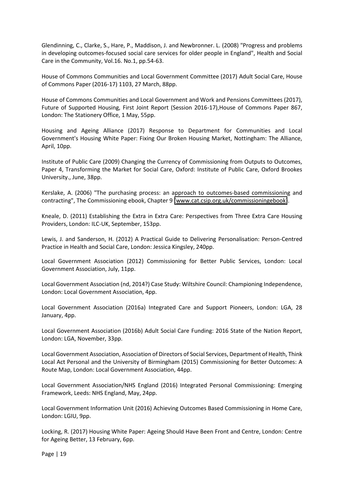Glendinning, C., Clarke, S., Hare, P., Maddison, J. and Newbronner. L. (2008) "Progress and problems in developing outcomes-focused social care services for older people in England", Health and Social Care in the Community, Vol.16. No.1, pp.54-63.

House of Commons Communities and Local Government Committee (2017) Adult Social Care, House of Commons Paper (2016-17) 1103, 27 March, 88pp.

House of Commons Communities and Local Government and Work and Pensions Committees (2017), Future of Supported Housing, First Joint Report (Session 2016-17),House of Commons Paper 867, London: The Stationery Office, 1 May, 55pp.

Housing and Ageing Alliance (2017) Response to Department for Communities and Local Government's Housing White Paper: Fixing Our Broken Housing Market, Nottingham: The Alliance, April, 10pp.

Institute of Public Care (2009) Changing the Currency of Commissioning from Outputs to Outcomes, Paper 4, Transforming the Market for Social Care, Oxford: Institute of Public Care, Oxford Brookes University., June, 38pp.

Kerslake, A. (2006) "The purchasing process: an approach to outcomes-based commissioning and contracting", The Commissioning ebook, Chapter 9 [\(www.cat.csip.org.uk/commissioningebook\)](http://www.cat.csip.org.uk/commissioningebook).

Kneale, D. (2011) Establishing the Extra in Extra Care: Perspectives from Three Extra Care Housing Providers, London: ILC-UK, September, 153pp.

Lewis, J. and Sanderson, H. (2012) A Practical Guide to Delivering Personalisation: Person-Centred Practice in Health and Social Care, London: Jessica Kingsley, 240pp.

Local Government Association (2012) Commissioning for Better Public Services, London: Local Government Association, July, 11pp.

Local Government Association (nd, 2014?) Case Study: Wiltshire Council: Championing Independence, London: Local Government Association, 4pp.

Local Government Association (2016a) Integrated Care and Support Pioneers, London: LGA, 28 January, 4pp.

Local Government Association (2016b) Adult Social Care Funding: 2016 State of the Nation Report, London: LGA, November, 33pp.

Local Government Association, Association of Directors of Social Services, Department of Health, Think Local Act Personal and the University of Birmingham (2015) Commissioning for Better Outcomes: A Route Map, London: Local Government Association, 44pp.

Local Government Association/NHS England (2016) Integrated Personal Commissioning: Emerging Framework, Leeds: NHS England, May, 24pp.

Local Government Information Unit (2016) Achieving Outcomes Based Commissioning in Home Care, London: LGIU, 9pp.

Locking, R. (2017) Housing White Paper: Ageing Should Have Been Front and Centre, London: Centre for Ageing Better, 13 February, 6pp.

Page | 19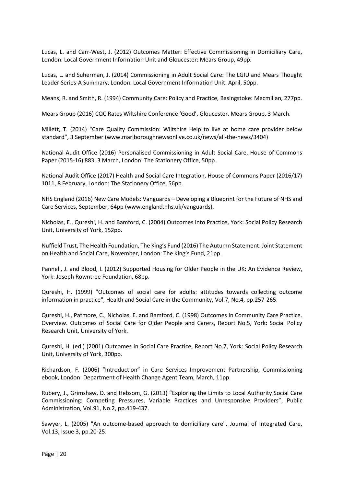Lucas, L. and Carr-West, J. (2012) Outcomes Matter: Effective Commissioning in Domiciliary Care, London: Local Government Information Unit and Gloucester: Mears Group, 49pp.

Lucas, L. and Suherman, J. (2014) Commissioning in Adult Social Care: The LGIU and Mears Thought Leader Series-A Summary, London: Local Government Information Unit. April, 50pp.

Means, R. and Smith, R. (1994) Community Care: Policy and Practice, Basingstoke: Macmillan, 277pp.

Mears Group (2016) CQC Rates Wiltshire Conference 'Good', Gloucester. Mears Group, 3 March.

Millett, T. (2014) "Care Quality Commission: Wiltshire Help to live at home care provider below standard". 3 September (www.marlboroughnewsonlive.co.uk/news/all-the-news/3404)

National Audit Office (2016) Personalised Commissioning in Adult Social Care, House of Commons Paper (2015-16) 883, 3 March, London: The Stationery Office, 50pp.

National Audit Office (2017) Health and Social Care Integration, House of Commons Paper (2016/17) 1011, 8 February, London: The Stationery Office, 56pp.

NHS England (2016) New Care Models: Vanguards – Developing a Blueprint for the Future of NHS and Care Services, September, 64pp (www.england.nhs.uk/vanguards).

Nicholas, E., Qureshi, H. and Bamford, C. (2004) Outcomes into Practice, York: Social Policy Research Unit, University of York, 152pp.

Nuffield Trust, The Health Foundation, The King's Fund (2016) The Autumn Statement: Joint Statement on Health and Social Care, November, London: The King's Fund, 21pp.

Pannell, J. and Blood, I. (2012) Supported Housing for Older People in the UK: An Evidence Review, York: Joseph Rowntree Foundation, 68pp.

Qureshi, H. (1999) "Outcomes of social care for adults: attitudes towards collecting outcome information in practice", Health and Social Care in the Community, Vol.7, No.4, pp.257-265.

Qureshi, H., Patmore, C., Nicholas, E. and Bamford, C. (1998) Outcomes in Community Care Practice. Overview. Outcomes of Social Care for Older People and Carers, Report No.5, York: Social Policy Research Unit, University of York.

Qureshi, H. (ed.) (2001) Outcomes in Social Care Practice, Report No.7, York: Social Policy Research Unit, University of York, 300pp.

Richardson, F. (2006) "Introduction" in Care Services Improvement Partnership, Commissioning ebook, London: Department of Health Change Agent Team, March, 11pp.

Rubery, J., Grimshaw, D. and Hebsom, G. (2013) "Exploring the Limits to Local Authority Social Care Commissioning: Competing Pressures, Variable Practices and Unresponsive Providers", Public Administration, Vol.91, No.2, pp.419-437.

Sawyer, L. (2005) "An outcome-based approach to domiciliary care", Journal of Integrated Care, Vol.13, Issue 3, pp.20-25.